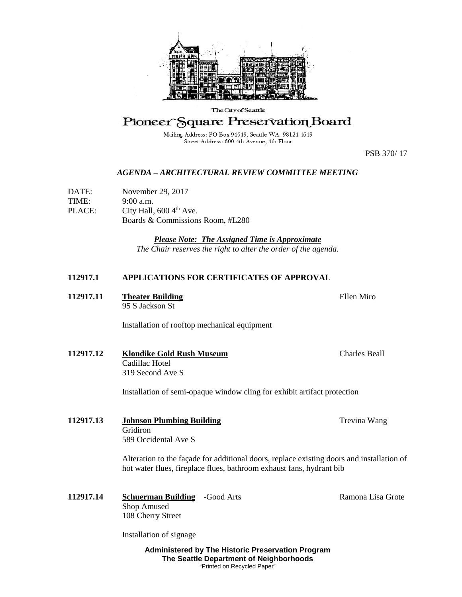

## The City of Seattle

Pioneer Square Preservation Board

Mailing Address: PO Box 94649, Seattle WA 98124-4649 Street Address: 600 4th Avenue, 4th Floor

PSB 370/ 17

## *AGENDA – ARCHITECTURAL REVIEW COMMITTEE MEETING*

DATE: November 29, 2017 TIME: 9:00 a.m. PLACE: City Hall,  $600 \, 4^{\text{th}}$  Ave. Boards & Commissions Room, #L280

> *Please Note: The Assigned Time is Approximate The Chair reserves the right to alter the order of the agenda.*

## **112917.1 APPLICATIONS FOR CERTIFICATES OF APPROVAL**

**112917.11 •• Theater Building Theater Building Theory Ellen Miro** 95 S Jackson St

Installation of rooftop mechanical equipment

**112917.12 Klondike Gold Rush Museum** Charles Beall Cadillac Hotel 319 Second Ave S

Installation of semi-opaque window cling for exhibit artifact protection

**112917.13 Johnson Plumbing Building Trevina Wang Trevina Wang** Gridiron 589 Occidental Ave S

> Alteration to the façade for additional doors, replace existing doors and installation of hot water flues, fireplace flues, bathroom exhaust fans, hydrant bib

**112917.14 Schuerman Building** -Good Arts **Ramona Lisa Grote** Shop Amused 108 Cherry Street

Installation of signage

**Administered by The Historic Preservation Program The Seattle Department of Neighborhoods** "Printed on Recycled Paper"